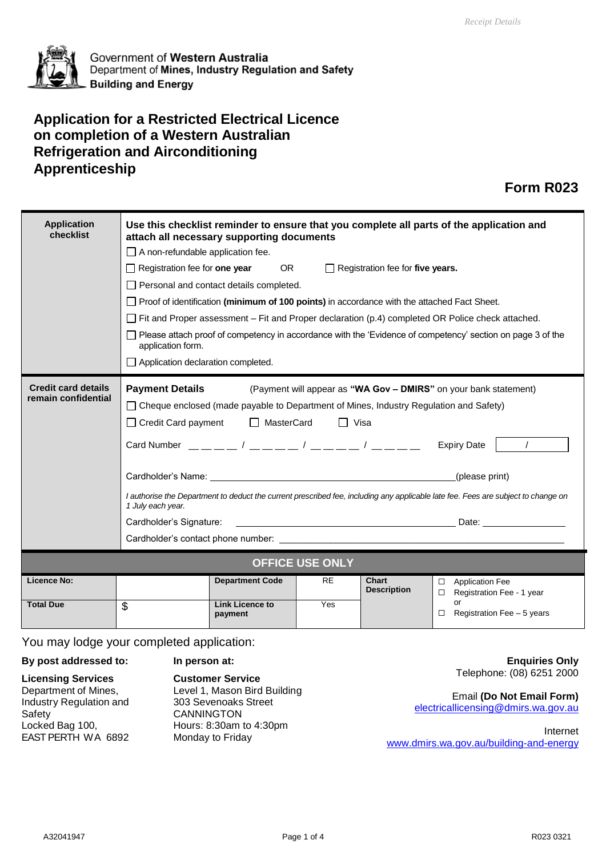

Government of Western Australia Department of Mines, Industry Regulation and Safety **Building and Energy** 

## **Application for a Restricted Electrical Licence on completion of a Western Australian Refrigeration and Airconditioning Apprenticeship**

## **Form R023**

| <b>Application</b><br>checklist                   | Use this checklist reminder to ensure that you complete all parts of the application and<br>attach all necessary supporting documents<br>$\Box$ A non-refundable application fee.<br>OR <sub>2</sub><br>$\Box$ Registration fee for one year<br>$\Box$ Registration fee for five years.<br>$\Box$ Personal and contact details completed.<br>$\Box$ Proof of identification (minimum of 100 points) in accordance with the attached Fact Sheet.<br>$\Box$ Fit and Proper assessment – Fit and Proper declaration (p.4) completed OR Police check attached.<br>□ Please attach proof of competency in accordance with the 'Evidence of competency' section on page 3 of the<br>application form.<br>$\Box$ Application declaration completed.                                                                                                             |                                                             |                  |                                    |                                                                                                            |
|---------------------------------------------------|----------------------------------------------------------------------------------------------------------------------------------------------------------------------------------------------------------------------------------------------------------------------------------------------------------------------------------------------------------------------------------------------------------------------------------------------------------------------------------------------------------------------------------------------------------------------------------------------------------------------------------------------------------------------------------------------------------------------------------------------------------------------------------------------------------------------------------------------------------|-------------------------------------------------------------|------------------|------------------------------------|------------------------------------------------------------------------------------------------------------|
| <b>Credit card details</b><br>remain confidential | <b>Payment Details</b><br>(Payment will appear as "WA Gov - DMIRS" on your bank statement)<br>□ Cheque enclosed (made payable to Department of Mines, Industry Regulation and Safety)<br>□ Credit Card payment □ MasterCard<br>$\Box$ Visa<br>Card Number $\frac{1}{1-\frac{1}{1-\frac{1}{1-\frac{1}{1-\frac{1}{1-\frac{1}{1-\frac{1}{1-\frac{1}{1-\frac{1}{1-\frac{1}{1-\frac{1}{1-\frac{1}{1-\frac{1}{1-\frac{1}{1-\frac{1}{1-\frac{1}{1-\frac{1}{1-\frac{1}{1-\frac{1}{1-\frac{1}{1-\frac{1}{1-\frac{1}{1-\frac{1}{1-\frac{1}{1-\frac{1}{1-\frac{1}{1-\frac{1}{1-\frac{1}{1-\frac{1}{1-\frac{1}{1-\frac{1}{1-\frac{1}{1-\frac{1}{1-\frac{1}{1-\frac{1$<br>Cardholder's Name: (please print)<br>I authorise the Department to deduct the current prescribed fee, including any applicable late fee. Fees are subject to change on<br>1 July each year. |                                                             |                  |                                    |                                                                                                            |
| <b>OFFICE USE ONLY</b>                            |                                                                                                                                                                                                                                                                                                                                                                                                                                                                                                                                                                                                                                                                                                                                                                                                                                                          |                                                             |                  |                                    |                                                                                                            |
| <b>Licence No:</b><br><b>Total Due</b>            | \$                                                                                                                                                                                                                                                                                                                                                                                                                                                                                                                                                                                                                                                                                                                                                                                                                                                       | <b>Department Code</b><br><b>Link Licence to</b><br>payment | <b>RE</b><br>Yes | <b>Chart</b><br><b>Description</b> | <b>Application Fee</b><br>$\Box$<br>□ Registration Fee - 1 year<br>or<br>$\Box$ Registration Fee - 5 years |

You may lodge your completed application:

#### **By post addressed to: In person at:**

**Licensing Services** Department of Mines, Industry Regulation and Safety Locked Bag 100, EAST PERTH WA 6892

**Customer Service** Level 1, Mason Bird Building 303 Sevenoaks Street **CANNINGTON** Hours: 8:30am to 4:30pm Monday to Friday

**Enquiries Only** Telephone: (08) 6251 2000

Email **(Do Not Email Form)** [electricallicensing@dmirs.wa.gov.au](mailto:electricallicensing@dmirs.wa.gov.au)

Internet [www.dmirs.wa.gov.au/building-and-energy](http://www.dmirs.wa.gov.au/building-and-energy)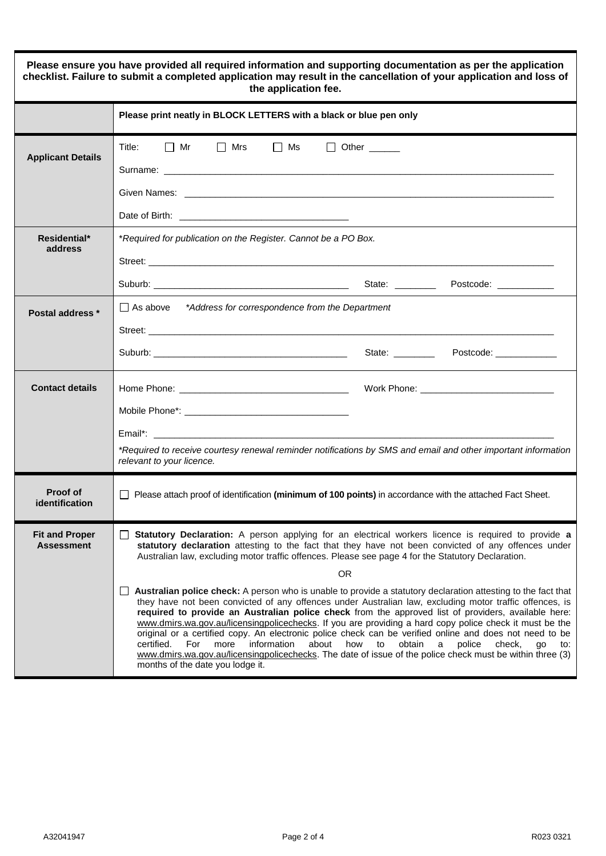| Please ensure you have provided all required information and supporting documentation as per the application<br>checklist. Failure to submit a completed application may result in the cancellation of your application and loss of<br>the application fee. |                                                                                                                                                                                                                                                                                                                                                                                                                                                                                                                                                                                                                                                                                                                                                                                                                                                                                                                                                                                                                                                                                                                                                           |  |  |  |  |
|-------------------------------------------------------------------------------------------------------------------------------------------------------------------------------------------------------------------------------------------------------------|-----------------------------------------------------------------------------------------------------------------------------------------------------------------------------------------------------------------------------------------------------------------------------------------------------------------------------------------------------------------------------------------------------------------------------------------------------------------------------------------------------------------------------------------------------------------------------------------------------------------------------------------------------------------------------------------------------------------------------------------------------------------------------------------------------------------------------------------------------------------------------------------------------------------------------------------------------------------------------------------------------------------------------------------------------------------------------------------------------------------------------------------------------------|--|--|--|--|
|                                                                                                                                                                                                                                                             | Please print neatly in BLOCK LETTERS with a black or blue pen only                                                                                                                                                                                                                                                                                                                                                                                                                                                                                                                                                                                                                                                                                                                                                                                                                                                                                                                                                                                                                                                                                        |  |  |  |  |
| <b>Applicant Details</b>                                                                                                                                                                                                                                    | Title: Title<br>$\Box$ Mr<br>$\Box$ Mrs<br>$\Box$ Ms<br>$\Box$ Other $\_\_\_\_\_\_\_\_\$                                                                                                                                                                                                                                                                                                                                                                                                                                                                                                                                                                                                                                                                                                                                                                                                                                                                                                                                                                                                                                                                  |  |  |  |  |
| Residential*<br>address                                                                                                                                                                                                                                     | *Required for publication on the Register. Cannot be a PO Box.                                                                                                                                                                                                                                                                                                                                                                                                                                                                                                                                                                                                                                                                                                                                                                                                                                                                                                                                                                                                                                                                                            |  |  |  |  |
| Postal address *                                                                                                                                                                                                                                            | $\Box$ As above $*$ Address for correspondence from the Department                                                                                                                                                                                                                                                                                                                                                                                                                                                                                                                                                                                                                                                                                                                                                                                                                                                                                                                                                                                                                                                                                        |  |  |  |  |
| <b>Contact details</b>                                                                                                                                                                                                                                      | *Required to receive courtesy renewal reminder notifications by SMS and email and other important information<br>relevant to your licence.                                                                                                                                                                                                                                                                                                                                                                                                                                                                                                                                                                                                                                                                                                                                                                                                                                                                                                                                                                                                                |  |  |  |  |
| Proof of<br>identification                                                                                                                                                                                                                                  | $\Box$ Please attach proof of identification (minimum of 100 points) in accordance with the attached Fact Sheet.                                                                                                                                                                                                                                                                                                                                                                                                                                                                                                                                                                                                                                                                                                                                                                                                                                                                                                                                                                                                                                          |  |  |  |  |
| <b>Fit and Proper</b><br><b>Assessment</b>                                                                                                                                                                                                                  | Statutory Declaration: A person applying for an electrical workers licence is required to provide a<br>statutory declaration attesting to the fact that they have not been convicted of any offences under<br>Australian law, excluding motor traffic offences. Please see page 4 for the Statutory Declaration.<br><b>OR</b><br>Australian police check: A person who is unable to provide a statutory declaration attesting to the fact that<br>they have not been convicted of any offences under Australian law, excluding motor traffic offences, is<br>required to provide an Australian police check from the approved list of providers, available here:<br>www.dmirs.wa.gov.au/licensingpolicechecks. If you are providing a hard copy police check it must be the<br>original or a certified copy. An electronic police check can be verified online and does not need to be<br>information<br>certified.<br>For<br>more<br>about<br>how<br>obtain<br>police<br>check.<br>to<br>a<br>qo<br>to:<br>www.dmirs.wa.gov.au/licensingpolicechecks. The date of issue of the police check must be within three (3)<br>months of the date you lodge it. |  |  |  |  |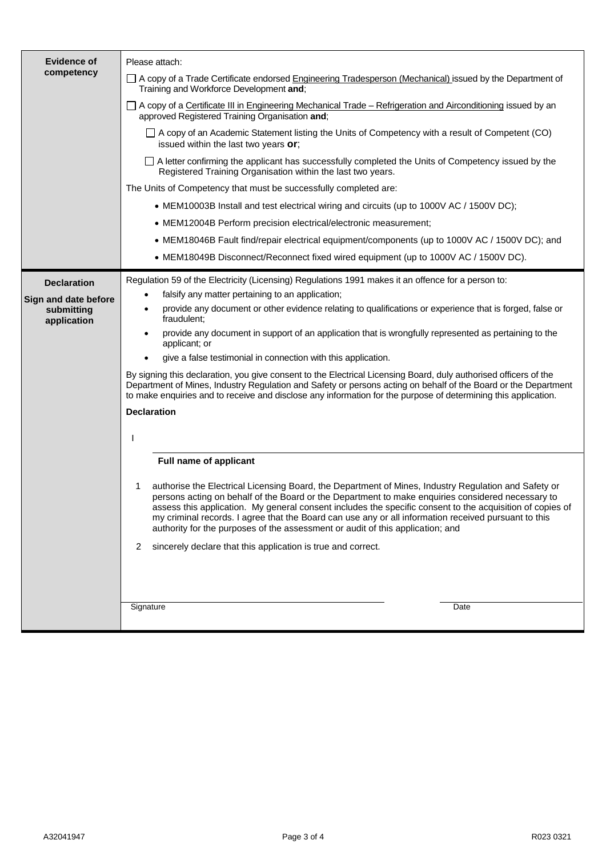| <b>Evidence of</b><br>competency                                        | Please attach:<br>□ A copy of a Trade Certificate endorsed Engineering Tradesperson (Mechanical) issued by the Department of<br>Training and Workforce Development and;<br>□ A copy of a Certificate III in Engineering Mechanical Trade – Refrigeration and Airconditioning issued by an<br>approved Registered Training Organisation and;<br>$\Box$ A copy of an Academic Statement listing the Units of Competency with a result of Competent (CO)<br>issued within the last two years or;<br>□ A letter confirming the applicant has successfully completed the Units of Competency issued by the                                                                                                                                                                                                                                                                                                  |  |  |  |
|-------------------------------------------------------------------------|--------------------------------------------------------------------------------------------------------------------------------------------------------------------------------------------------------------------------------------------------------------------------------------------------------------------------------------------------------------------------------------------------------------------------------------------------------------------------------------------------------------------------------------------------------------------------------------------------------------------------------------------------------------------------------------------------------------------------------------------------------------------------------------------------------------------------------------------------------------------------------------------------------|--|--|--|
|                                                                         | Registered Training Organisation within the last two years.<br>The Units of Competency that must be successfully completed are:<br>• MEM10003B Install and test electrical wiring and circuits (up to 1000V AC / 1500V DC);<br>• MEM12004B Perform precision electrical/electronic measurement;<br>• MEM18046B Fault find/repair electrical equipment/components (up to 1000V AC / 1500V DC); and<br>• MEM18049B Disconnect/Reconnect fixed wired equipment (up to 1000V AC / 1500V DC).                                                                                                                                                                                                                                                                                                                                                                                                               |  |  |  |
| <b>Declaration</b><br>Sign and date before<br>submitting<br>application | Regulation 59 of the Electricity (Licensing) Regulations 1991 makes it an offence for a person to:<br>falsify any matter pertaining to an application;<br>$\bullet$<br>provide any document or other evidence relating to qualifications or experience that is forged, false or<br>٠<br>fraudulent;<br>provide any document in support of an application that is wrongfully represented as pertaining to the<br>$\bullet$<br>applicant; or<br>give a false testimonial in connection with this application.<br>$\bullet$<br>By signing this declaration, you give consent to the Electrical Licensing Board, duly authorised officers of the<br>Department of Mines, Industry Regulation and Safety or persons acting on behalf of the Board or the Department<br>to make enquiries and to receive and disclose any information for the purpose of determining this application.<br><b>Declaration</b> |  |  |  |
|                                                                         | <b>Full name of applicant</b><br>authorise the Electrical Licensing Board, the Department of Mines, Industry Regulation and Safety or<br>1<br>persons acting on behalf of the Board or the Department to make enquiries considered necessary to<br>assess this application. My general consent includes the specific consent to the acquisition of copies of<br>my criminal records. I agree that the Board can use any or all information received pursuant to this<br>authority for the purposes of the assessment or audit of this application; and<br>sincerely declare that this application is true and correct.<br>2<br>Signature<br>Date                                                                                                                                                                                                                                                       |  |  |  |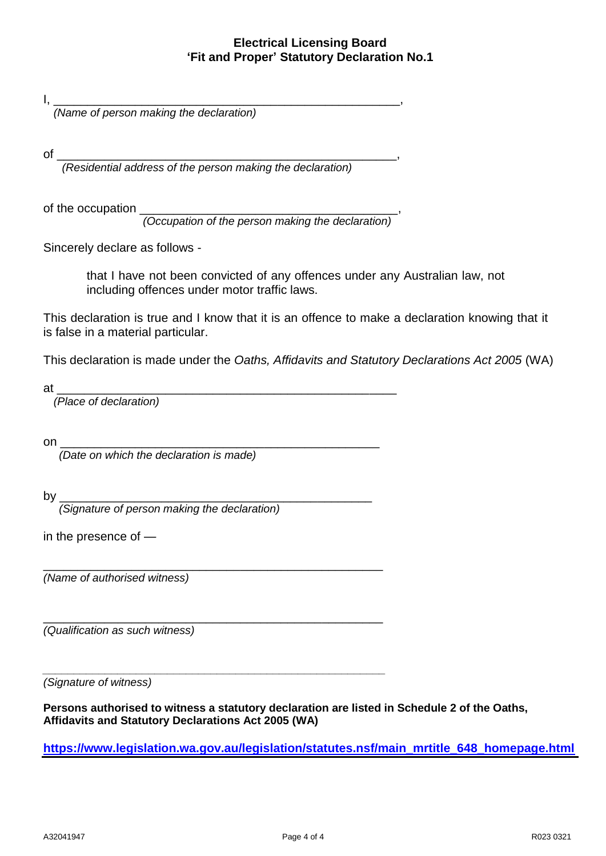#### **Electrical Licensing Board 'Fit and Proper' Statutory Declaration No.1**

I, \_\_\_\_\_\_\_\_\_\_\_\_\_\_\_\_\_\_\_\_\_\_\_\_\_\_\_\_\_\_\_\_\_\_\_\_\_\_\_\_\_\_\_\_\_\_\_\_\_\_\_,

*(Name of person making the declaration)* 

of \_\_\_\_\_\_\_\_\_\_\_\_\_\_\_\_\_\_\_\_\_\_\_\_\_\_\_\_\_\_\_\_\_\_\_\_\_\_\_\_\_\_\_\_\_\_\_\_\_\_,

*(Residential address of the person making the declaration)*

of the occupation \_\_\_\_\_\_\_\_\_\_\_\_\_\_\_\_\_\_\_\_\_\_\_\_\_\_\_\_\_\_\_\_\_\_\_\_\_\_,

 *(Occupation of the person making the declaration)*

Sincerely declare as follows -

that I have not been convicted of any offences under any Australian law, not including offences under motor traffic laws.

This declaration is true and I know that it is an offence to make a declaration knowing that it is false in a material particular.

This declaration is made under the *Oaths, Affidavits and Statutory Declarations Act 2005* (WA)

at \_\_\_\_\_\_\_\_\_\_\_\_\_\_\_\_\_\_\_\_\_\_\_\_\_\_\_\_\_\_\_\_\_\_\_\_\_\_\_\_\_\_\_\_\_\_\_\_\_\_ *(Place of declaration)* 

\_\_\_\_\_\_\_\_\_\_\_\_\_\_\_\_\_\_\_\_\_\_\_\_\_\_\_\_\_\_\_\_\_\_\_\_\_\_\_\_\_\_\_\_\_\_\_\_\_\_

*\_\_\_\_\_\_\_\_\_\_\_\_\_\_\_\_\_\_\_\_\_\_\_\_\_\_\_\_\_\_\_\_\_\_\_\_\_\_\_\_\_\_\_\_\_\_\_\_\_\_\_\_\_\_\_*

on \_\_\_\_\_\_\_\_\_\_\_\_\_\_\_\_\_\_\_\_\_\_\_\_\_\_\_\_\_\_\_\_\_\_\_\_\_\_\_\_\_\_\_\_\_\_\_

 *(Date on which the declaration is made)*

by \_\_\_\_\_\_\_\_\_\_\_\_\_\_\_\_\_\_\_\_\_\_\_\_\_\_\_\_\_\_\_\_\_\_\_\_\_\_\_\_\_\_\_\_\_\_

 *(Signature of person making the declaration)* 

in the presence of —

\_\_\_\_\_\_\_\_\_\_\_\_\_\_\_\_\_\_\_\_\_\_\_\_\_\_\_\_\_\_\_\_\_\_\_\_\_\_\_\_\_\_\_\_\_\_\_\_\_\_ *(Name of authorised witness)*

*(Qualification as such witness)* 

*(Signature of witness)*

**Persons authorised to witness a statutory declaration are listed in Schedule 2 of the Oaths, Affidavits and Statutory Declarations Act 2005 (WA)**

**[https://www.legislation.wa.gov.au/legislation/statutes.nsf/main\\_mrtitle\\_648\\_homepage.html](https://www.legislation.wa.gov.au/legislation/statutes.nsf/main_mrtitle_648_homepage.html)**